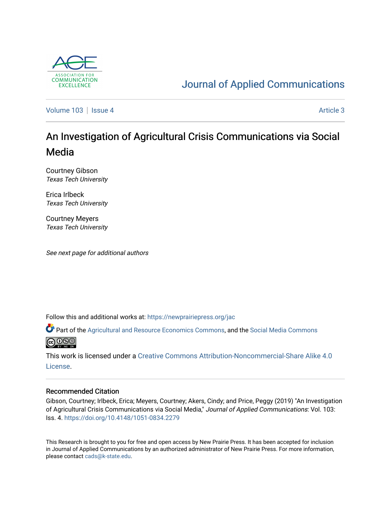

# [Journal of Applied Communications](https://newprairiepress.org/jac)

[Volume 103](https://newprairiepress.org/jac/vol103) | [Issue 4](https://newprairiepress.org/jac/vol103/iss4) Article 3

# An Investigation of Agricultural Crisis Communications via Social Media

Courtney Gibson Texas Tech University

Erica Irlbeck Texas Tech University

Courtney Meyers Texas Tech University

See next page for additional authors

Follow this and additional works at: [https://newprairiepress.org/jac](https://newprairiepress.org/jac?utm_source=newprairiepress.org%2Fjac%2Fvol103%2Fiss4%2F3&utm_medium=PDF&utm_campaign=PDFCoverPages)

Part of the [Agricultural and Resource Economics Commons,](http://network.bepress.com/hgg/discipline/317?utm_source=newprairiepress.org%2Fjac%2Fvol103%2Fiss4%2F3&utm_medium=PDF&utm_campaign=PDFCoverPages) and the [Social Media Commons](http://network.bepress.com/hgg/discipline/1249?utm_source=newprairiepress.org%2Fjac%2Fvol103%2Fiss4%2F3&utm_medium=PDF&utm_campaign=PDFCoverPages)  **@@@** 

This work is licensed under a [Creative Commons Attribution-Noncommercial-Share Alike 4.0](https://creativecommons.org/licenses/by-nc-sa/4.0/) [License.](https://creativecommons.org/licenses/by-nc-sa/4.0/)

#### Recommended Citation

Gibson, Courtney; Irlbeck, Erica; Meyers, Courtney; Akers, Cindy; and Price, Peggy (2019) "An Investigation of Agricultural Crisis Communications via Social Media," Journal of Applied Communications: Vol. 103: Iss. 4. <https://doi.org/10.4148/1051-0834.2279>

This Research is brought to you for free and open access by New Prairie Press. It has been accepted for inclusion in Journal of Applied Communications by an authorized administrator of New Prairie Press. For more information, please contact [cads@k-state.edu.](mailto:cads@k-state.edu)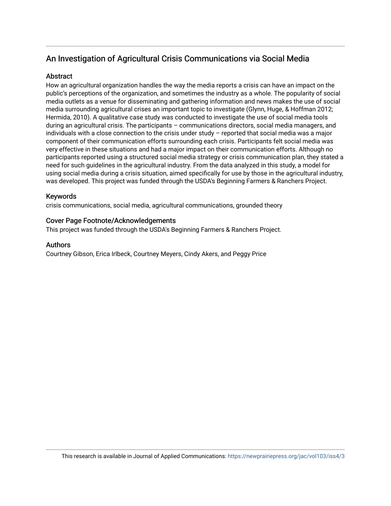# An Investigation of Agricultural Crisis Communications via Social Media

#### Abstract

How an agricultural organization handles the way the media reports a crisis can have an impact on the public's perceptions of the organization, and sometimes the industry as a whole. The popularity of social media outlets as a venue for disseminating and gathering information and news makes the use of social media surrounding agricultural crises an important topic to investigate (Glynn, Huge, & Hoffman 2012; Hermida, 2010). A qualitative case study was conducted to investigate the use of social media tools during an agricultural crisis. The participants – communications directors, social media managers, and individuals with a close connection to the crisis under study – reported that social media was a major component of their communication efforts surrounding each crisis. Participants felt social media was very effective in these situations and had a major impact on their communication efforts. Although no participants reported using a structured social media strategy or crisis communication plan, they stated a need for such guidelines in the agricultural industry. From the data analyzed in this study, a model for using social media during a crisis situation, aimed specifically for use by those in the agricultural industry, was developed. This project was funded through the USDA's Beginning Farmers & Ranchers Project.

# Keywords

crisis communications, social media, agricultural communications, grounded theory

#### Cover Page Footnote/Acknowledgements

This project was funded through the USDA's Beginning Farmers & Ranchers Project.

#### Authors

Courtney Gibson, Erica Irlbeck, Courtney Meyers, Cindy Akers, and Peggy Price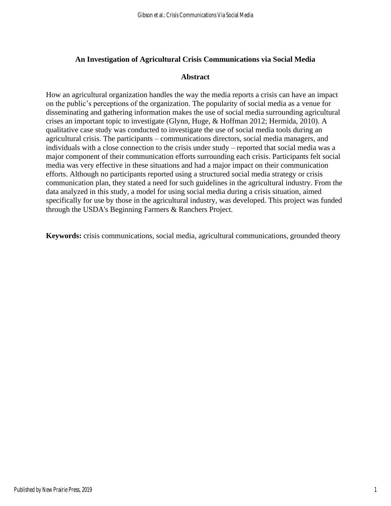# **An Investigation of Agricultural Crisis Communications via Social Media**

#### **Abstract**

How an agricultural organization handles the way the media reports a crisis can have an impact on the public's perceptions of the organization. The popularity of social media as a venue for disseminating and gathering information makes the use of social media surrounding agricultural crises an important topic to investigate (Glynn, Huge, & Hoffman 2012; Hermida, 2010). A qualitative case study was conducted to investigate the use of social media tools during an agricultural crisis. The participants – communications directors, social media managers, and individuals with a close connection to the crisis under study – reported that social media was a major component of their communication efforts surrounding each crisis. Participants felt social media was very effective in these situations and had a major impact on their communication efforts. Although no participants reported using a structured social media strategy or crisis communication plan, they stated a need for such guidelines in the agricultural industry. From the data analyzed in this study, a model for using social media during a crisis situation, aimed specifically for use by those in the agricultural industry, was developed. This project was funded through the USDA's Beginning Farmers & Ranchers Project.

**Keywords:** crisis communications, social media, agricultural communications, grounded theory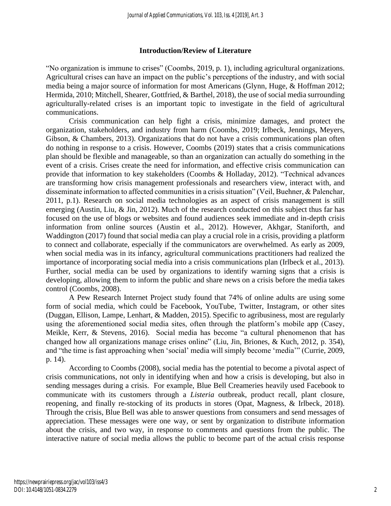# **Introduction/Review of Literature**

"No organization is immune to crises" (Coombs, 2019, p. 1), including agricultural organizations. Agricultural crises can have an impact on the public's perceptions of the industry, and with social media being a major source of information for most Americans (Glynn, Huge, & Hoffman 2012; Hermida, 2010; Mitchell, Shearer, Gottfried, & Barthel, 2018), the use of social media surrounding agriculturally-related crises is an important topic to investigate in the field of agricultural communications.

Crisis communication can help fight a crisis, minimize damages, and protect the organization, stakeholders, and industry from harm (Coombs, 2019; Irlbeck, Jennings, Meyers, Gibson, & Chambers, 2013). Organizations that do not have a crisis communications plan often do nothing in response to a crisis. However, Coombs (2019) states that a crisis communications plan should be flexible and manageable, so than an organization can actually do something in the event of a crisis. Crises create the need for information, and effective crisis communication can provide that information to key stakeholders (Coombs & Holladay, 2012). "Technical advances are transforming how crisis management professionals and researchers view, interact with, and disseminate information to affected communities in a crisis situation" (Veil, Buehner, & Palenchar, 2011, p.1). Research on social media technologies as an aspect of crisis management is still emerging (Austin, Liu, & Jin, 2012). Much of the research conducted on this subject thus far has focused on the use of blogs or websites and found audiences seek immediate and in-depth crisis information from online sources (Austin et al., 2012). However, Akhgar, Staniforth, and Waddington (2017) found that social media can play a crucial role in a crisis, providing a platform to connect and collaborate, especially if the communicators are overwhelmed. As early as 2009, when social media was in its infancy, agricultural communications practitioners had realized the importance of incorporating social media into a crisis communications plan (Irlbeck et al., 2013). Further, social media can be used by organizations to identify warning signs that a crisis is developing, allowing them to inform the public and share news on a crisis before the media takes control (Coombs, 2008).

A Pew Research Internet Project study found that 74% of online adults are using some form of social media, which could be Facebook, YouTube, Twitter, Instagram, or other sites (Duggan, Ellison, Lampe, Lenhart, & Madden, 2015). Specific to agribusiness, most are regularly using the aforementioned social media sites, often through the platform's mobile app (Casey, Meikle, Kerr, & Stevens, 2016). Social media has become "a cultural phenomenon that has changed how all organizations manage crises online" (Liu, Jin, Briones, & Kuch, 2012, p. 354), and "the time is fast approaching when 'social' media will simply become 'media'" (Currie, 2009, p. 14).

According to Coombs (2008), social media has the potential to become a pivotal aspect of crisis communications, not only in identifying when and how a crisis is developing, but also in sending messages during a crisis. For example, Blue Bell Creameries heavily used Facebook to communicate with its customers through a *Listeria* outbreak, product recall, plant closure, reopening, and finally re-stocking of its products in stores (Opat, Magness, & Irlbeck, 2018). Through the crisis, Blue Bell was able to answer questions from consumers and send messages of appreciation. These messages were one way, or sent by organization to distribute information about the crisis, and two way, in response to comments and questions from the public. The interactive nature of social media allows the public to become part of the actual crisis response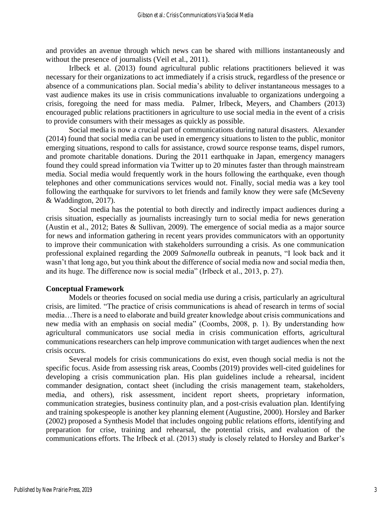and provides an avenue through which news can be shared with millions instantaneously and without the presence of journalists (Veil et al., 2011).

Irlbeck et al. (2013) found agricultural public relations practitioners believed it was necessary for their organizations to act immediately if a crisis struck, regardless of the presence or absence of a communications plan. Social media's ability to deliver instantaneous messages to a vast audience makes its use in crisis communications invaluable to organizations undergoing a crisis, foregoing the need for mass media. Palmer, Irlbeck, Meyers, and Chambers (2013) encouraged public relations practitioners in agriculture to use social media in the event of a crisis to provide consumers with their messages as quickly as possible.

Social media is now a crucial part of communications during natural disasters. Alexander (2014) found that social media can be used in emergency situations to listen to the public, monitor emerging situations, respond to calls for assistance, crowd source response teams, dispel rumors, and promote charitable donations. During the 2011 earthquake in Japan, emergency managers found they could spread information via Twitter up to 20 minutes faster than through mainstream media. Social media would frequently work in the hours following the earthquake, even though telephones and other communications services would not. Finally, social media was a key tool following the earthquake for survivors to let friends and family know they were safe (McSeveny & Waddington, 2017).

Social media has the potential to both directly and indirectly impact audiences during a crisis situation, especially as journalists increasingly turn to social media for news generation (Austin et al., 2012; Bates & Sullivan, 2009). The emergence of social media as a major source for news and information gathering in recent years provides communicators with an opportunity to improve their communication with stakeholders surrounding a crisis. As one communication professional explained regarding the 2009 *Salmonella* outbreak in peanuts, "I look back and it wasn't that long ago, but you think about the difference of social media now and social media then, and its huge. The difference now is social media" (Irlbeck et al., 2013, p. 27).

#### **Conceptual Framework**

Models or theories focused on social media use during a crisis, particularly an agricultural crisis, are limited. "The practice of crisis communications is ahead of research in terms of social media…There is a need to elaborate and build greater knowledge about crisis communications and new media with an emphasis on social media" (Coombs, 2008, p. 1). By understanding how agricultural communicators use social media in crisis communication efforts, agricultural communications researchers can help improve communication with target audiences when the next crisis occurs.

Several models for crisis communications do exist, even though social media is not the specific focus. Aside from assessing risk areas, Coombs (2019) provides well-cited guidelines for developing a crisis communication plan. His plan guidelines include a rehearsal, incident commander designation, contact sheet (including the crisis management team, stakeholders, media, and others), risk assessment, incident report sheets, proprietary information, communication strategies, business continuity plan, and a post-crisis evaluation plan. Identifying and training spokespeople is another key planning element (Augustine, 2000). Horsley and Barker (2002) proposed a Synthesis Model that includes ongoing public relations efforts, identifying and preparation for crise, training and rehearsal, the potential crisis, and evaluation of the communications efforts. The Irlbeck et al. (2013) study is closely related to Horsley and Barker's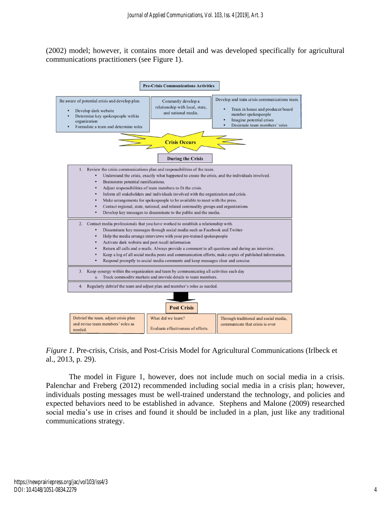(2002) model; however, it contains more detail and was developed specifically for agricultural communications practitioners (see Figure 1).



*Figure 1.* Pre-crisis, Crisis, and Post-Crisis Model for Agricultural Communications (Irlbeck et al., 2013, p. 29).

The model in Figure 1, however, does not include much on social media in a crisis. Palenchar and Freberg (2012) recommended including social media in a crisis plan; however, individuals posting messages must be well-trained understand the technology, and policies and expected behaviors need to be established in advance. Stephens and Malone (2009) researched social media's use in crises and found it should be included in a plan, just like any traditional communications strategy.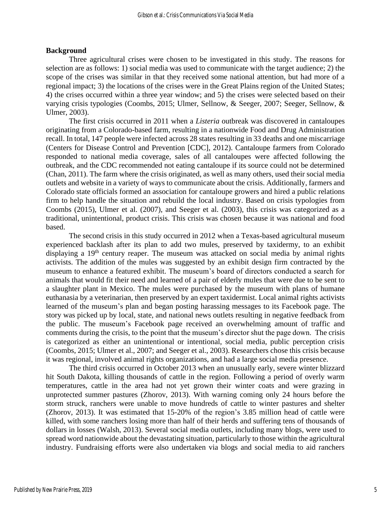#### **Background**

Three agricultural crises were chosen to be investigated in this study. The reasons for selection are as follows: 1) social media was used to communicate with the target audience; 2) the scope of the crises was similar in that they received some national attention, but had more of a regional impact; 3) the locations of the crises were in the Great Plains region of the United States; 4) the crises occurred within a three year window; and 5) the crises were selected based on their varying crisis typologies (Coombs, 2015; Ulmer, Sellnow, & Seeger, 2007; Seeger, Sellnow, & Ulmer, 2003).

The first crisis occurred in 2011 when a *Listeria* outbreak was discovered in cantaloupes originating from a Colorado-based farm, resulting in a nationwide Food and Drug Administration recall. In total, 147 people were infected across 28 states resulting in 33 deaths and one miscarriage (Centers for Disease Control and Prevention [CDC], 2012). Cantaloupe farmers from Colorado responded to national media coverage, sales of all cantaloupes were affected following the outbreak, and the CDC recommended not eating cantaloupe if its source could not be determined (Chan, 2011). The farm where the crisis originated, as well as many others, used their social media outlets and website in a variety of ways to communicate about the crisis. Additionally, farmers and Colorado state officials formed an association for cantaloupe growers and hired a public relations firm to help handle the situation and rebuild the local industry. Based on crisis typologies from Coombs (2015), Ulmer et al. (2007), and Seeger et al. (2003), this crisis was categorized as a traditional, unintentional, product crisis. This crisis was chosen because it was national and food based.

The second crisis in this study occurred in 2012 when a Texas-based agricultural museum experienced backlash after its plan to add two mules, preserved by taxidermy, to an exhibit displaying a 19<sup>th</sup> century reaper. The museum was attacked on social media by animal rights activists. The addition of the mules was suggested by an exhibit design firm contracted by the museum to enhance a featured exhibit. The museum's board of directors conducted a search for animals that would fit their need and learned of a pair of elderly mules that were due to be sent to a slaughter plant in Mexico. The mules were purchased by the museum with plans of humane euthanasia by a veterinarian, then preserved by an expert taxidermist. Local animal rights activists learned of the museum's plan and began posting harassing messages to its Facebook page. The story was picked up by local, state, and national news outlets resulting in negative feedback from the public. The museum's Facebook page received an overwhelming amount of traffic and comments during the crisis, to the point that the museum's director shut the page down. The crisis is categorized as either an unintentional or intentional, social media, public perception crisis (Coombs, 2015; Ulmer et al., 2007; and Seeger et al., 2003). Researchers chose this crisis because it was regional, involved animal rights organizations, and had a large social media presence.

The third crisis occurred in October 2013 when an unusually early, severe winter blizzard hit South Dakota, killing thousands of cattle in the region. Following a period of overly warm temperatures, cattle in the area had not yet grown their winter coats and were grazing in unprotected summer pastures (Zhorov, 2013). With warning coming only 24 hours before the storm struck, ranchers were unable to move hundreds of cattle to winter pastures and shelter (Zhorov, 2013). It was estimated that 15-20% of the region's 3.85 million head of cattle were killed, with some ranchers losing more than half of their herds and suffering tens of thousands of dollars in losses (Walsh, 2013). Several social media outlets, including many blogs, were used to spread word nationwide about the devastating situation, particularly to those within the agricultural industry. Fundraising efforts were also undertaken via blogs and social media to aid ranchers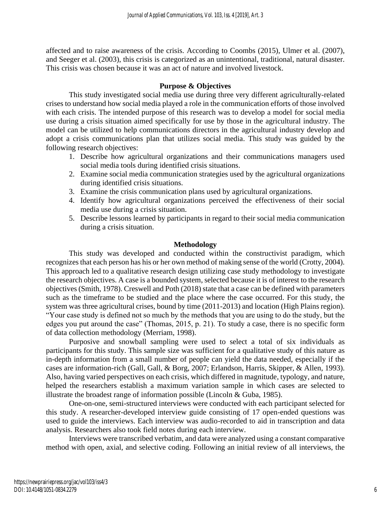affected and to raise awareness of the crisis. According to Coombs (2015), Ulmer et al. (2007), and Seeger et al. (2003), this crisis is categorized as an unintentional, traditional, natural disaster. This crisis was chosen because it was an act of nature and involved livestock.

#### **Purpose & Objectives**

This study investigated social media use during three very different agriculturally-related crises to understand how social media played a role in the communication efforts of those involved with each crisis. The intended purpose of this research was to develop a model for social media use during a crisis situation aimed specifically for use by those in the agricultural industry. The model can be utilized to help communications directors in the agricultural industry develop and adopt a crisis communications plan that utilizes social media. This study was guided by the following research objectives:

- 1. Describe how agricultural organizations and their communications managers used social media tools during identified crisis situations.
- 2. Examine social media communication strategies used by the agricultural organizations during identified crisis situations.
- 3. Examine the crisis communication plans used by agricultural organizations.
- 4. Identify how agricultural organizations perceived the effectiveness of their social media use during a crisis situation.
- 5. Describe lessons learned by participants in regard to their social media communication during a crisis situation.

# **Methodology**

This study was developed and conducted within the constructivist paradigm, which recognizes that each person has his or her own method of making sense of the world (Crotty, 2004). This approach led to a qualitative research design utilizing case study methodology to investigate the research objectives. A case is a bounded system, selected because it is of interest to the research objectives (Smith, 1978). Creswell and Poth (2018) state that a case can be defined with parameters such as the timeframe to be studied and the place where the case occurred. For this study, the system was three agricultural crises, bound by time (2011-2013) and location (High Plains region). "Your case study is defined not so much by the methods that you are using to do the study, but the edges you put around the case" (Thomas, 2015, p. 21). To study a case, there is no specific form of data collection methodology (Merriam, 1998).

Purposive and snowball sampling were used to select a total of six individuals as participants for this study. This sample size was sufficient for a qualitative study of this nature as in-depth information from a small number of people can yield the data needed, especially if the cases are information-rich (Gall, Gall, & Borg, 2007; Erlandson, Harris, Skipper, & Allen, 1993). Also, having varied perspectives on each crisis, which differed in magnitude, typology, and nature, helped the researchers establish a maximum variation sample in which cases are selected to illustrate the broadest range of information possible (Lincoln & Guba, 1985).

One-on-one, semi-structured interviews were conducted with each participant selected for this study. A researcher-developed interview guide consisting of 17 open-ended questions was used to guide the interviews. Each interview was audio-recorded to aid in transcription and data analysis. Researchers also took field notes during each interview.

Interviews were transcribed verbatim, and data were analyzed using a constant comparative method with open, axial, and selective coding. Following an initial review of all interviews, the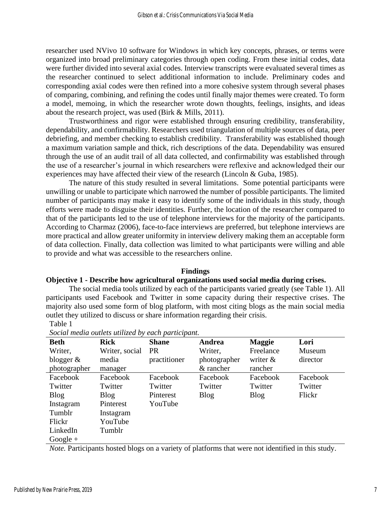researcher used NVivo 10 software for Windows in which key concepts, phrases, or terms were organized into broad preliminary categories through open coding. From these initial codes, data were further divided into several axial codes. Interview transcripts were evaluated several times as the researcher continued to select additional information to include. Preliminary codes and corresponding axial codes were then refined into a more cohesive system through several phases of comparing, combining, and refining the codes until finally major themes were created. To form a model, memoing, in which the researcher wrote down thoughts, feelings, insights, and ideas about the research project, was used (Birk & Mills, 2011).

Trustworthiness and rigor were established through ensuring credibility, transferability, dependability, and confirmability. Researchers used triangulation of multiple sources of data, peer debriefing, and member checking to establish credibility. Transferability was established though a maximum variation sample and thick, rich descriptions of the data. Dependability was ensured through the use of an audit trail of all data collected, and confirmability was established through the use of a researcher's journal in which researchers were reflexive and acknowledged their our experiences may have affected their view of the research (Lincoln & Guba, 1985).

The nature of this study resulted in several limitations. Some potential participants were unwilling or unable to participate which narrowed the number of possible participants. The limited number of participants may make it easy to identify some of the individuals in this study, though efforts were made to disguise their identities. Further, the location of the researcher compared to that of the participants led to the use of telephone interviews for the majority of the participants. According to Charmaz (2006), face-to-face interviews are preferred, but telephone interviews are more practical and allow greater uniformity in interview delivery making them an acceptable form of data collection. Finally, data collection was limited to what participants were willing and able to provide and what was accessible to the researchers online.

#### **Findings**

#### **Objective 1 - Describe how agricultural organizations used social media during crises.**

The social media tools utilized by each of the participants varied greatly (see Table 1). All participants used Facebook and Twitter in some capacity during their respective crises. The majority also used some form of blog platform, with most citing blogs as the main social media outlet they utilized to discuss or share information regarding their crisis. Table 1

| <b>Beth</b>  | <b>Rick</b>    | <b>Shane</b> | Andrea       | <b>Maggie</b> | Lori     |
|--------------|----------------|--------------|--------------|---------------|----------|
| Writer,      | Writer, social | <b>PR</b>    | Writer,      | Freelance     | Museum   |
| blogger $\&$ | media          | practitioner | photographer | writer $\&$   | director |
| photographer | manager        |              | & rancher    | rancher       |          |
| Facebook     | Facebook       | Facebook     | Facebook     | Facebook      | Facebook |
| Twitter      | Twitter        | Twitter      | Twitter      | Twitter       | Twitter  |
| <b>Blog</b>  | <b>Blog</b>    | Pinterest    | <b>Blog</b>  | <b>Blog</b>   | Flickr   |
| Instagram    | Pinterest      | YouTube      |              |               |          |
| Tumblr       | Instagram      |              |              |               |          |
| Flickr       | YouTube        |              |              |               |          |
| LinkedIn     | Tumblr         |              |              |               |          |
| $Google +$   |                |              |              |               |          |

*Social media outlets utilized by each participant.*

*Note.* Participants hosted blogs on a variety of platforms that were not identified in this study.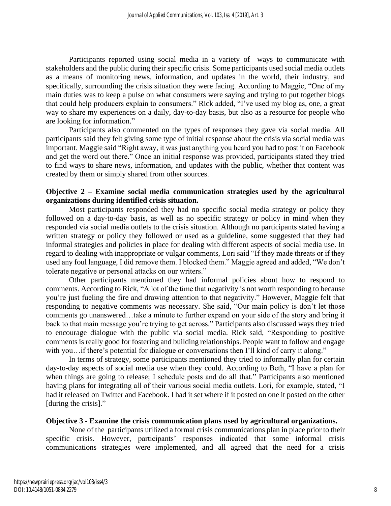Participants reported using social media in a variety of ways to communicate with stakeholders and the public during their specific crisis. Some participants used social media outlets as a means of monitoring news, information, and updates in the world, their industry, and specifically, surrounding the crisis situation they were facing. According to Maggie, "One of my main duties was to keep a pulse on what consumers were saying and trying to put together blogs that could help producers explain to consumers." Rick added, "I've used my blog as, one, a great way to share my experiences on a daily, day-to-day basis, but also as a resource for people who are looking for information."

Participants also commented on the types of responses they gave via social media. All participants said they felt giving some type of initial response about the crisis via social media was important. Maggie said "Right away, it was just anything you heard you had to post it on Facebook and get the word out there." Once an initial response was provided, participants stated they tried to find ways to share news, information, and updates with the public, whether that content was created by them or simply shared from other sources.

#### **Objective 2 – Examine social media communication strategies used by the agricultural organizations during identified crisis situation.**

Most participants responded they had no specific social media strategy or policy they followed on a day-to-day basis, as well as no specific strategy or policy in mind when they responded via social media outlets to the crisis situation. Although no participants stated having a written strategy or policy they followed or used as a guideline, some suggested that they had informal strategies and policies in place for dealing with different aspects of social media use. In regard to dealing with inappropriate or vulgar comments, Lori said "If they made threats or if they used any foul language, I did remove them. I blocked them." Maggie agreed and added, "We don't tolerate negative or personal attacks on our writers."

Other participants mentioned they had informal policies about how to respond to comments. According to Rick, "A lot of the time that negativity is not worth responding to because you're just fueling the fire and drawing attention to that negativity." However, Maggie felt that responding to negative comments was necessary. She said, "Our main policy is don't let those comments go unanswered…take a minute to further expand on your side of the story and bring it back to that main message you're trying to get across." Participants also discussed ways they tried to encourage dialogue with the public via social media. Rick said, "Responding to positive comments is really good for fostering and building relationships. People want to follow and engage with you... if there's potential for dialogue or conversations then I'll kind of carry it along."

In terms of strategy, some participants mentioned they tried to informally plan for certain day-to-day aspects of social media use when they could. According to Beth, "I have a plan for when things are going to release; I schedule posts and do all that." Participants also mentioned having plans for integrating all of their various social media outlets. Lori, for example, stated, "I had it released on Twitter and Facebook. I had it set where if it posted on one it posted on the other [during the crisis]."

#### **Objective 3 - Examine the crisis communication plans used by agricultural organizations.**

None of the participants utilized a formal crisis communications plan in place prior to their specific crisis. However, participants' responses indicated that some informal crisis communications strategies were implemented, and all agreed that the need for a crisis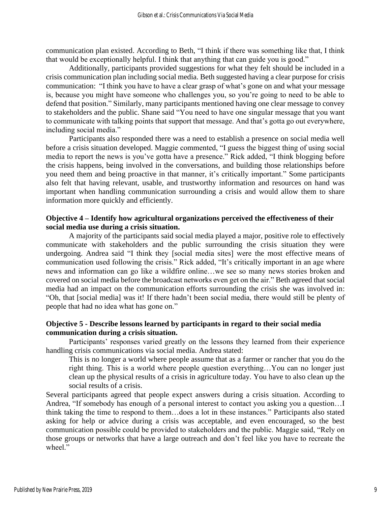communication plan existed. According to Beth, "I think if there was something like that, I think that would be exceptionally helpful. I think that anything that can guide you is good."

Additionally, participants provided suggestions for what they felt should be included in a crisis communication plan including social media. Beth suggested having a clear purpose for crisis communication: "I think you have to have a clear grasp of what's gone on and what your message is, because you might have someone who challenges you, so you're going to need to be able to defend that position." Similarly, many participants mentioned having one clear message to convey to stakeholders and the public. Shane said "You need to have one singular message that you want to communicate with talking points that support that message. And that's gotta go out everywhere, including social media."

Participants also responded there was a need to establish a presence on social media well before a crisis situation developed. Maggie commented, "I guess the biggest thing of using social media to report the news is you've gotta have a presence." Rick added, "I think blogging before the crisis happens, being involved in the conversations, and building those relationships before you need them and being proactive in that manner, it's critically important." Some participants also felt that having relevant, usable, and trustworthy information and resources on hand was important when handling communication surrounding a crisis and would allow them to share information more quickly and efficiently.

#### **Objective 4 – Identify how agricultural organizations perceived the effectiveness of their social media use during a crisis situation.**

A majority of the participants said social media played a major, positive role to effectively communicate with stakeholders and the public surrounding the crisis situation they were undergoing. Andrea said "I think they [social media sites] were the most effective means of communication used following the crisis." Rick added, "It's critically important in an age where news and information can go like a wildfire online…we see so many news stories broken and covered on social media before the broadcast networks even get on the air." Beth agreed that social media had an impact on the communication efforts surrounding the crisis she was involved in: "Oh, that [social media] was it! If there hadn't been social media, there would still be plenty of people that had no idea what has gone on."

# **Objective 5 - Describe lessons learned by participants in regard to their social media communication during a crisis situation.**

Participants' responses varied greatly on the lessons they learned from their experience handling crisis communications via social media. Andrea stated:

This is no longer a world where people assume that as a farmer or rancher that you do the right thing. This is a world where people question everything…You can no longer just clean up the physical results of a crisis in agriculture today. You have to also clean up the social results of a crisis.

Several participants agreed that people expect answers during a crisis situation. According to Andrea, "If somebody has enough of a personal interest to contact you asking you a question…I think taking the time to respond to them…does a lot in these instances." Participants also stated asking for help or advice during a crisis was acceptable, and even encouraged, so the best communication possible could be provided to stakeholders and the public. Maggie said, "Rely on those groups or networks that have a large outreach and don't feel like you have to recreate the wheel."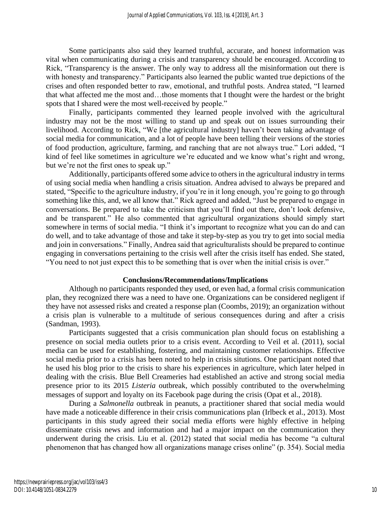Some participants also said they learned truthful, accurate, and honest information was vital when communicating during a crisis and transparency should be encouraged. According to Rick, "Transparency is the answer. The only way to address all the misinformation out there is with honesty and transparency." Participants also learned the public wanted true depictions of the crises and often responded better to raw, emotional, and truthful posts. Andrea stated, "I learned that what affected me the most and…those moments that I thought were the hardest or the bright spots that I shared were the most well-received by people."

Finally, participants commented they learned people involved with the agricultural industry may not be the most willing to stand up and speak out on issues surrounding their livelihood. According to Rick, "We [the agricultural industry] haven't been taking advantage of social media for communication, and a lot of people have been telling their versions of the stories of food production, agriculture, farming, and ranching that are not always true." Lori added, "I kind of feel like sometimes in agriculture we're educated and we know what's right and wrong, but we're not the first ones to speak up."

Additionally, participants offered some advice to others in the agricultural industry in terms of using social media when handling a crisis situation. Andrea advised to always be prepared and stated, "Specific to the agriculture industry, if you're in it long enough, you're going to go through something like this, and, we all know that." Rick agreed and added, "Just be prepared to engage in conversations. Be prepared to take the criticism that you'll find out there, don't look defensive, and be transparent." He also commented that agricultural organizations should simply start somewhere in terms of social media. "I think it's important to recognize what you can do and can do well, and to take advantage of those and take it step-by-step as you try to get into social media and join in conversations." Finally, Andrea said that agriculturalists should be prepared to continue engaging in conversations pertaining to the crisis well after the crisis itself has ended. She stated, "You need to not just expect this to be something that is over when the initial crisis is over."

#### **Conclusions/Recommendations/Implications**

Although no participants responded they used, or even had, a formal crisis communication plan, they recognized there was a need to have one. Organizations can be considered negligent if they have not assessed risks and created a response plan (Coombs, 2019); an organization without a crisis plan is vulnerable to a multitude of serious consequences during and after a crisis (Sandman, 1993).

Participants suggested that a crisis communication plan should focus on establishing a presence on social media outlets prior to a crisis event. According to Veil et al. (2011), social media can be used for establishing, fostering, and maintaining customer relationships. Effective social media prior to a crisis has been noted to help in crisis situtions. One participant noted that he used his blog prior to the crisis to share his experiences in agriculture, which later helped in dealing with the crisis. Blue Bell Creameries had established an active and strong social media presence prior to its 2015 *Listeria* outbreak, which possibly contributed to the overwhelming messages of support and loyalty on its Facebook page during the crisis (Opat et al., 2018).

During a *Salmonella* outbreak in peanuts, a practitioner shared that social media would have made a noticeable difference in their crisis communications plan (Irlbeck et al., 2013). Most participants in this study agreed their social media efforts were highly effective in helping disseminate crisis news and information and had a major impact on the communication they underwent during the crisis. Liu et al. (2012) stated that social media has become "a cultural phenomenon that has changed how all organizations manage crises online" (p. 354). Social media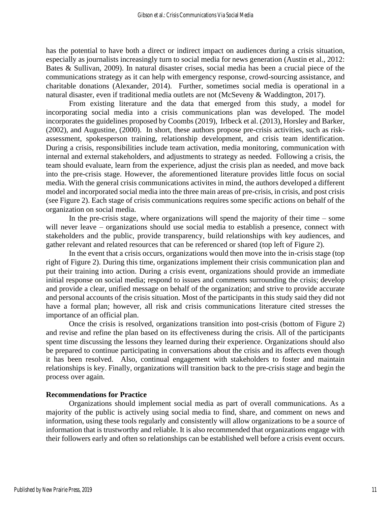has the potential to have both a direct or indirect impact on audiences during a crisis situation, especially as journalists increasingly turn to social media for news generation (Austin et al., 2012: Bates & Sullivan, 2009). In natural disaster crises, social media has been a crucial piece of the communications strategy as it can help with emergency response, crowd-sourcing assistance, and charitable donations (Alexander, 2014). Further, sometimes social media is operational in a natural disaster, even if traditional media outlets are not (McSeveny & Waddington, 2017).

From existing literature and the data that emerged from this study, a model for incorporating social media into a crisis communications plan was developed. The model incorporates the guidelines proposed by Coombs (2019), Irlbeck et al. (2013), Horsley and Barker, (2002), and Augustine, (2000). In short, these authors propose pre-crisis activities, such as riskassessment, spokesperson training, relationship development, and crisis team identification. During a crisis, responsibilities include team activation, media monitoring, communication with internal and external stakeholders, and adjustments to strategy as needed. Following a crisis, the team should evaluate, learn from the experience, adjust the crisis plan as needed, and move back into the pre-crisis stage. However, the aforementioned literature provides little focus on social media. With the general crisis communications activites in mind, the authors developed a different model and incorporated social media into the three main areas of pre-crisis, in crisis, and post crisis (see Figure 2). Each stage of crisis communications requires some specific actions on behalf of the organization on social media.

In the pre-crisis stage, where organizations will spend the majority of their time  $-$  some will never leave – organizations should use social media to establish a presence, connect with stakeholders and the public, provide transparency, build relationships with key audiences, and gather relevant and related resources that can be referenced or shared (top left of Figure 2).

In the event that a crisis occurs, organizations would then move into the in-crisis stage (top right of Figure 2). During this time, organizations implement their crisis communication plan and put their training into action. During a crisis event, organizations should provide an immediate initial response on social media; respond to issues and comments surrounding the crisis; develop and provide a clear, unified message on behalf of the organization; and strive to provide accurate and personal accounts of the crisis situation. Most of the participants in this study said they did not have a formal plan; however, all risk and crisis communications literature cited stresses the importance of an official plan.

Once the crisis is resolved, organizations transition into post-crisis (bottom of Figure 2) and revise and refine the plan based on its effectiveness during the crisis. All of the participants spent time discussing the lessons they learned during their experience. Organizations should also be prepared to continue participating in conversations about the crisis and its affects even though it has been resolved. Also, continual engagement with stakeholders to foster and maintain relationships is key. Finally, organizations will transition back to the pre-crisis stage and begin the process over again.

#### **Recommendations for Practice**

Organizations should implement social media as part of overall communications. As a majority of the public is actively using social media to find, share, and comment on news and information, using these tools regularly and consistently will allow organizations to be a source of information that is trustworthy and reliable. It is also recommended that organizations engage with their followers early and often so relationships can be established well before a crisis event occurs.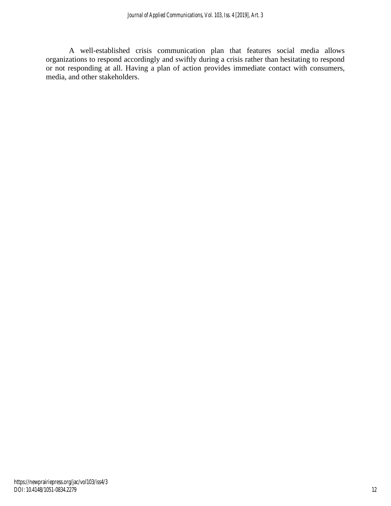A well-established crisis communication plan that features social media allows organizations to respond accordingly and swiftly during a crisis rather than hesitating to respond or not responding at all. Having a plan of action provides immediate contact with consumers, media, and other stakeholders.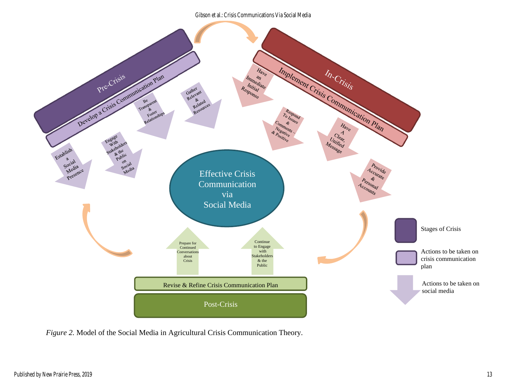Gibson et al.: Crisis Communications Via Social Media



*Figure 2.* Model of the Social Media in Agricultural Crisis Communication Theory.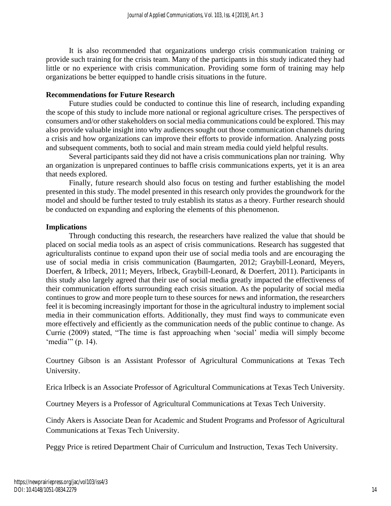It is also recommended that organizations undergo crisis communication training or provide such training for the crisis team. Many of the participants in this study indicated they had little or no experience with crisis communication. Providing some form of training may help organizations be better equipped to handle crisis situations in the future.

#### **Recommendations for Future Research**

Future studies could be conducted to continue this line of research, including expanding the scope of this study to include more national or regional agriculture crises. The perspectives of consumers and/or other stakeholders on social media communications could be explored. This may also provide valuable insight into why audiences sought out those communication channels during a crisis and how organizations can improve their efforts to provide information. Analyzing posts and subsequent comments, both to social and main stream media could yield helpful results.

Several participants said they did not have a crisis communications plan nor training. Why an organization is unprepared continues to baffle crisis communications experts, yet it is an area that needs explored.

Finally, future research should also focus on testing and further establishing the model presented in this study. The model presented in this research only provides the groundwork for the model and should be further tested to truly establish its status as a theory. Further research should be conducted on expanding and exploring the elements of this phenomenon.

# **Implications**

Through conducting this research, the researchers have realized the value that should be placed on social media tools as an aspect of crisis communications. Research has suggested that agriculturalists continue to expand upon their use of social media tools and are encouraging the use of social media in crisis communication (Baumgarten, 2012; Graybill-Leonard, Meyers, Doerfert, & Irlbeck, 2011; Meyers, Irlbeck, Graybill-Leonard, & Doerfert, 2011). Participants in this study also largely agreed that their use of social media greatly impacted the effectiveness of their communication efforts surrounding each crisis situation. As the popularity of social media continues to grow and more people turn to these sources for news and information, the researchers feel it is becoming increasingly important for those in the agricultural industry to implement social media in their communication efforts. Additionally, they must find ways to communicate even more effectively and efficiently as the communication needs of the public continue to change. As Currie (2009) stated, "The time is fast approaching when 'social' media will simply become 'media'" (p. 14).

Courtney Gibson is an Assistant Professor of Agricultural Communications at Texas Tech University.

Erica Irlbeck is an Associate Professor of Agricultural Communications at Texas Tech University.

Courtney Meyers is a Professor of Agricultural Communications at Texas Tech University.

Cindy Akers is Associate Dean for Academic and Student Programs and Professor of Agricultural Communications at Texas Tech University.

Peggy Price is retired Department Chair of Curriculum and Instruction, Texas Tech University.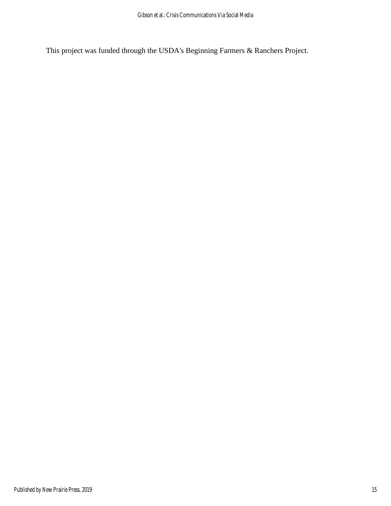This project was funded through the USDA's Beginning Farmers & Ranchers Project.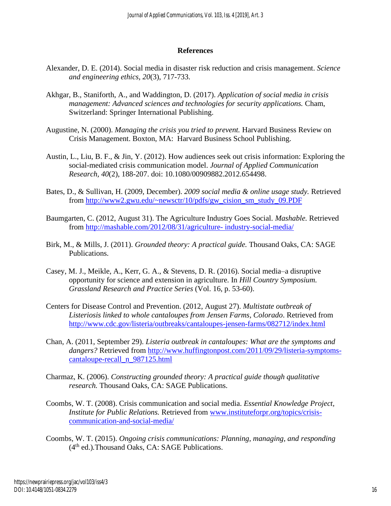# **References**

- Alexander, D. E. (2014). Social media in disaster risk reduction and crisis management. *Science and engineering ethics, 20*(3), 717-733.
- Akhgar, B., Staniforth, A., and Waddington, D. (2017). *Application of social media in crisis management: Advanced sciences and technologies for security applications. Cham,* Switzerland: Springer International Publishing.
- Augustine, N. (2000). *Managing the crisis you tried to prevent.* Harvard Business Review on Crisis Management. Boxton, MA: Harvard Business School Publishing.
- Austin, L., Liu, B. F., & Jin, Y. (2012). How audiences seek out crisis information: Exploring the social-mediated crisis communication model. *Journal of Applied Communication Research, 40*(2), 188-207. doi: 10.1080/00909882.2012.654498.
- Bates, D., & Sullivan, H. (2009, December). *2009 social media & online usage study.* Retrieved from [http://www2.gwu.edu/~newsctr/10/pdfs/gw\\_cision\\_sm\\_study\\_09.PDF](http://www2.gwu.edu/~newsctr/10/pdfs/gw_cision_sm_study_09.PDF)
- Baumgarten, C. (2012, August 31). The Agriculture Industry Goes Social. *Mashable.* Retrieved from [http://mashable.com/2012/08/31/agriculture-](http://mashable.com/2012/08/31/agriculture-%20industry-social-media/) industry-social-media/
- Birk, M., & Mills, J. (2011). *Grounded theory: A practical guide.* Thousand Oaks, CA: SAGE Publications.
- Casey, M. J., Meikle, A., Kerr, G. A., & Stevens, D. R. (2016). Social media–a disruptive opportunity for science and extension in agriculture. In *Hill Country Symposium. Grassland Research and Practice Series* (Vol. 16, p. 53-60).
- Centers for Disease Control and Prevention. (2012, August 27). *Multistate outbreak of Listeriosis linked to whole cantaloupes from Jensen Farms, Colorado*. Retrieved from <http://www.cdc.gov/listeria/outbreaks/cantaloupes-jensen-farms/082712/index.html>
- Chan, A. (2011, September 29). *Listeria outbreak in cantaloupes: What are the symptoms and dangers?* Retrieved from [http://www.huffingtonpost.com/2011/09/29/listeria-symptoms](http://www.huffingtonpost.com/2011/09/29/listeria-symptoms-cantaloupe-recall_n_987125.html)[cantaloupe-recall\\_n\\_987125.html](http://www.huffingtonpost.com/2011/09/29/listeria-symptoms-cantaloupe-recall_n_987125.html)
- Charmaz, K. (2006). *Constructing grounded theory: A practical guide though qualitative research.* Thousand Oaks, CA: SAGE Publications.
- Coombs, W. T. (2008). Crisis communication and social media. *Essential Knowledge Project, Institute for Public Relations.* Retrieved from [www.instituteforpr.org/topics/crisis](http://www.instituteforpr.org/topics/crisis-communication-and-social-media/)[communication-and-social-media/](http://www.instituteforpr.org/topics/crisis-communication-and-social-media/)
- Coombs, W. T. (2015). *Ongoing crisis communications: Planning, managing, and responding* (4th ed.)*.*Thousand Oaks, CA: SAGE Publications.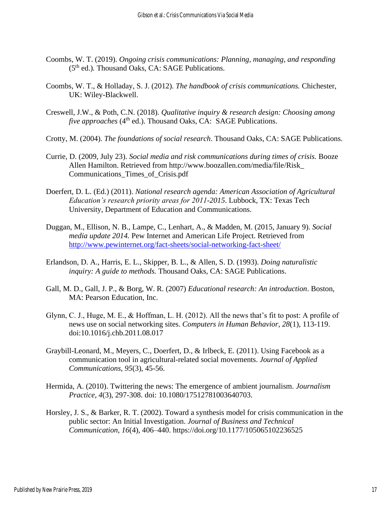- Coombs, W. T. (2019). *Ongoing crisis communications: Planning, managing, and responding* (5th ed.)*.* Thousand Oaks, CA: SAGE Publications.
- Coombs, W. T., & Holladay, S. J. (2012). *The handbook of crisis communications.* Chichester, UK: Wiley-Blackwell.
- Creswell, J.W., & Poth, C.N. (2018). *Qualitative inquiry & research design: Choosing among five approaches* (4<sup>th</sup> ed.). Thousand Oaks, CA: SAGE Publications.
- Crotty, M. (2004). *The foundations of social research*. Thousand Oaks, CA: SAGE Publications.
- Currie, D. (2009, July 23). *Social media and risk communications during times of crisis.* Booze Allen Hamilton. Retrieved from http://www.boozallen.com/media/file/Risk\_ Communications\_Times\_of\_Crisis.pdf
- Doerfert, D. L. (Ed.) (2011). *National research agenda: American Association of Agricultural Education's research priority areas for 2011-2015*. Lubbock, TX: Texas Tech University, Department of Education and Communications.
- Duggan, M., Ellison, N. B., Lampe, C., Lenhart, A., & Madden, M. (2015, January 9). *Social media update 2014.* Pew Internet and American Life Project. Retrieved from <http://www.pewinternet.org/fact-sheets/social-networking-fact-sheet/>
- Erlandson, D. A., Harris, E. L., Skipper, B. L., & Allen, S. D. (1993). *Doing naturalistic inquiry: A guide to methods.* Thousand Oaks, CA: SAGE Publications.
- Gall, M. D., Gall, J. P., & Borg, W. R. (2007) *Educational research: An introduction*. Boston, MA: Pearson Education, Inc.
- Glynn, C. J., Huge, M. E., & Hoffman, L. H. (2012). All the news that's fit to post: A profile of news use on social networking sites. *Computers in Human Behavior, 28*(1), 113-119. doi:10.1016/j.chb.2011.08.017
- Graybill-Leonard, M., Meyers, C., Doerfert, D., & Irlbeck, E. (2011). Using Facebook as a communication tool in agricultural-related social movements. *Journal of Applied Communications, 95*(3), 45-56.
- Hermida, A. (2010). Twittering the news: The emergence of ambient journalism. *Journalism Practice, 4*(3), 297-308. doi: 10.1080/17512781003640703.
- Horsley, J. S., & Barker, R. T. (2002). Toward a synthesis model for crisis communication in the public sector: An Initial Investigation. *Journal of Business and Technical Communication, 16*(4), 406–440. https://doi.org/10.1177/105065102236525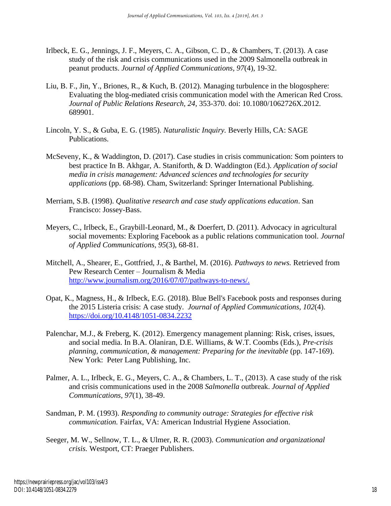- Irlbeck, E. G., Jennings, J. F., Meyers, C. A., Gibson, C. D., & Chambers, T. (2013). A case study of the risk and crisis communications used in the 2009 Salmonella outbreak in peanut products. *Journal of Applied Communications, 97*(4), 19-32.
- Liu, B. F., Jin, Y., Briones, R., & Kuch, B. (2012). Managing turbulence in the blogosphere: Evaluating the blog-mediated crisis communication model with the American Red Cross. *Journal of Public Relations Research, 24*, 353-370. doi: 10.1080/1062726X.2012. 689901.
- Lincoln, Y. S., & Guba, E. G. (1985). *Naturalistic Inquiry.* Beverly Hills, CA: SAGE Publications.
- McSeveny, K., & Waddington, D. (2017). Case studies in crisis communication: Som pointers to best practice In B. Akhgar, A. Staniforth, & D. Waddington (Ed.). *Application of social media in crisis management: Advanced sciences and technologies for security applications* (pp. 68-98). Cham, Switzerland: Springer International Publishing.
- Merriam, S.B. (1998). *Qualitative research and case study applications education*. San Francisco: Jossey-Bass.
- Meyers, C., Irlbeck, E., Graybill-Leonard, M., & Doerfert, D. (2011). Advocacy in agricultural social movements: Exploring Facebook as a public relations communication tool. *Journal of Applied Communications, 95*(3), 68-81.
- Mitchell, A., Shearer, E., Gottfried, J., & Barthel, M. (2016). *Pathways to news.* Retrieved from Pew Research Center – Journalism & Media [http://www.journalism.org/2016/07/07/pathways-to-news/.](http://www.journalism.org/2016/07/07/pathways-to-news/)
- Opat, K., Magness, H., & Irlbeck, E.G. (2018). Blue Bell's Facebook posts and responses during the 2015 Listeria crisis: A case study. *Journal of Applied Communications, 102*(4). <https://doi.org/10.4148/1051-0834.2232>
- Palenchar, M.J., & Freberg, K. (2012). Emergency management planning: Risk, crises, issues, and social media. In B.A. Olaniran, D.E. Williams, & W.T. Coombs (Eds.), *Pre-crisis planning, communication, & management: Preparing for the inevitable* (pp. 147-169). New York: Peter Lang Publishing, Inc.
- Palmer, A. L., Irlbeck, E. G., Meyers, C. A., & Chambers, L. T., (2013). A case study of the risk and crisis communications used in the 2008 *Salmonella* outbreak. *Journal of Applied Communications, 97*(1), 38-49.
- Sandman, P. M. (1993). *Responding to community outrage: Strategies for effective risk communication.* Fairfax, VA: American Industrial Hygiene Association.
- Seeger, M. W., Sellnow, T. L., & Ulmer, R. R. (2003). *Communication and organizational crisis.* Westport, CT: Praeger Publishers.